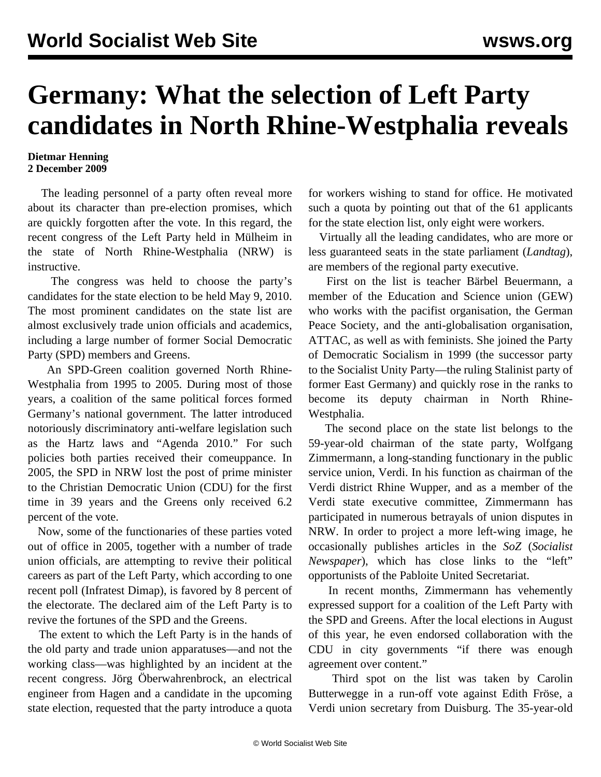## **Germany: What the selection of Left Party candidates in North Rhine-Westphalia reveals**

## **Dietmar Henning 2 December 2009**

 The leading personnel of a party often reveal more about its character than pre-election promises, which are quickly forgotten after the vote. In this regard, the recent congress of the Left Party held in Mülheim in the state of North Rhine-Westphalia (NRW) is instructive.

 The congress was held to choose the party's candidates for the state election to be held May 9, 2010. The most prominent candidates on the state list are almost exclusively trade union officials and academics, including a large number of former Social Democratic Party (SPD) members and Greens.

 An SPD-Green coalition governed North Rhine-Westphalia from 1995 to 2005. During most of those years, a coalition of the same political forces formed Germany's national government. The latter introduced notoriously discriminatory anti-welfare legislation such as the Hartz laws and "Agenda 2010." For such policies both parties received their comeuppance. In 2005, the SPD in NRW lost the post of prime minister to the Christian Democratic Union (CDU) for the first time in 39 years and the Greens only received 6.2 percent of the vote.

 Now, some of the functionaries of these parties voted out of office in 2005, together with a number of trade union officials, are attempting to revive their political careers as part of the Left Party, which according to one recent poll (Infratest Dimap), is favored by 8 percent of the electorate. The declared aim of the Left Party is to revive the fortunes of the SPD and the Greens.

 The extent to which the Left Party is in the hands of the old party and trade union apparatuses—and not the working class—was highlighted by an incident at the recent congress. Jörg Öberwahrenbrock, an electrical engineer from Hagen and a candidate in the upcoming state election, requested that the party introduce a quota for workers wishing to stand for office. He motivated such a quota by pointing out that of the 61 applicants for the state election list, only eight were workers.

 Virtually all the leading candidates, who are more or less guaranteed seats in the state parliament (*Landtag*), are members of the regional party executive.

 First on the list is teacher Bärbel Beuermann, a member of the Education and Science union (GEW) who works with the pacifist organisation, the German Peace Society, and the anti-globalisation organisation, ATTAC, as well as with feminists. She joined the Party of Democratic Socialism in 1999 (the successor party to the Socialist Unity Party—the ruling Stalinist party of former East Germany) and quickly rose in the ranks to become its deputy chairman in North Rhine-Westphalia.

 The second place on the state list belongs to the 59-year-old chairman of the state party, Wolfgang Zimmermann, a long-standing functionary in the public service union, Verdi. In his function as chairman of the Verdi district Rhine Wupper, and as a member of the Verdi state executive committee, Zimmermann has participated in numerous betrayals of union disputes in NRW. In order to project a more left-wing image, he occasionally publishes articles in the *SoZ* (*Socialist Newspaper*), which has close links to the "left" opportunists of the Pabloite United Secretariat.

 In recent months, Zimmermann has vehemently expressed support for a coalition of the Left Party with the SPD and Greens. After the local elections in August of this year, he even endorsed collaboration with the CDU in city governments "if there was enough agreement over content."

 Third spot on the list was taken by Carolin Butterwegge in a run-off vote against Edith Fröse, a Verdi union secretary from Duisburg. The 35-year-old